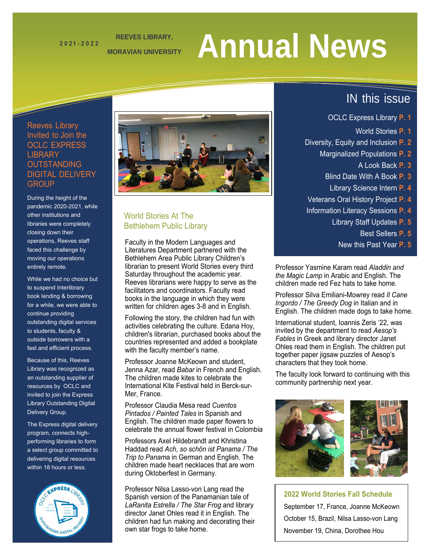#### **2 0 21 - 2 0 2 2**

**REEVES LIBRARY,**

# **MORAVIAN UNIVERSITY Annual News**

#### Reeves Library Invited to Join the OCLC EXPRESS LIBRARY OUTSTANDING DIGITAL DELIVERY GROUP

During the height of the pandemic 2020-2021, while other institutions and libraries were completely closing down their operations, Reeves staff faced this challenge by moving our operations entirely remote.

While we had no choice but to suspend Interlibrary book lending & borrowing for a while, we were able to continue providing outstanding digital services to students, faculty & outside borrowers with a fast and efficient process.

Because of this, Reeves Library was recognized as an outstanding supplier of resources by OCLC and invited to join the Express Library Outstanding Digital Delivery Group.

The Express digital delivery program, connects highperforming libraries to form a select group committed to delivering digital resources within 18 hours or less.





#### World Stories At The Bethlehem Public Library

Faculty in the Modern Languages and Literatures Department partnered with the Bethlehem Area Public Library Children's librarian to present World Stories every third Saturday throughout the academic year. Reeves librarians were happy to serve as the facilitators and coordinators. Faculty read books in the language in which they were written for children ages 3-8 and in English.

Following the story, the children had fun with activities celebrating the culture. Edana Hoy, children's librarian, purchased books about the countries represented and added a bookplate with the faculty member's name.

Professor Joanne McKeown and student, Jenna Azar, read *Babar* in French and English. The children made kites to celebrate the International Kite Festival held in Berck-sur-Mer, France.

Professor Claudia Mesa read *Cuentos Pintados / Painted Tales* in Spanish and English. The children made paper flowers to celebrate the annual flower festival in Colombia

Professors Axel Hildebrandt and Khristina Haddad read *Ach, so schön ist Panama / The Trip to Panam*a in German and English. The children made heart necklaces that are worn during Oktoberfest in Germany.

Professor Nilsa Lasso-von Lang read the Spanish version of the Panamanian tale of *LaRanita Estrella / The Star Frog* and library director Janet Ohles read it in English. The children had fun making and decorating their own star frogs to take home.

## IN this issue

- OCLC Express Library **P. 1**
	- World Stories **P. 1**
- Diversity, Equity and Inclusion **P. 2**
	- Marginalized Populations **P. 2**
		- A Look Back **P. 3**
		- Blind Date With A Book **P. 3**
		- Library Science Intern **P. 4**
- Veterans Oral History Project **P. 4**
- Information Literacy Sessions **P. 4** 
	- Library Staff Updates **P. 5**
		- Best Sellers **P. 5**
	- New this Past Year **P. 5**

Professor Yasmine Karam read *Aladdin and the Magic Lamp* in Arabic and English. The children made red Fez hats to take home.

Professor Silva Emiliani-Mowrey read *Il Cane Ingordo / The Greedy Dog* in Italian and in English. The children made dogs to take home.

International student, Ioannis Zeris '22, was invited by the department to read *Aesop's Fables* in Greek and library director Janet Ohles read them in English. The children put together paper jigsaw puzzles of Aesop's characters that they took home.

The faculty look forward to continuing with this community partnership next year.



**2022 World Stories Fall Schedule** September 17, France, Joanne McKeown October 15, Brazil, Nilsa Lasso-von Lang November 19, China, Dorothee Hou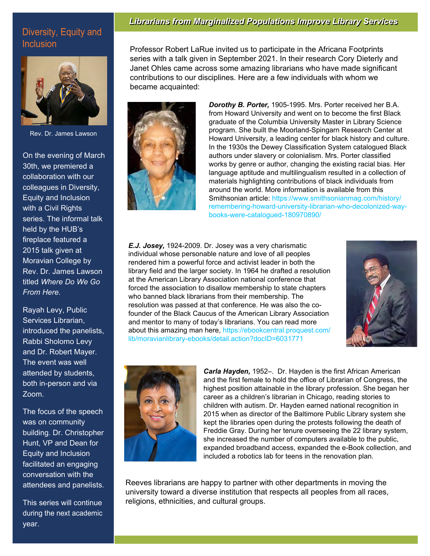## *Librarians from Marginalized Populations Improve Library Services Librarians from Marginalized Populations Improve Library Services*

## Diversity, Equity and **Inclusion**



Rev. Dr. James Lawson

On the evening of March 30th, we premiered a collaboration with our colleagues in Diversity, Equity and Inclusion with a Civil Rights series. The informal talk held by the HUB's fireplace featured a 2015 talk given at Moravian College by Rev. Dr. James Lawson titled *Where Do We Go From Here.*

Rayah Levy, Public Services Librarian, introduced the panelists, Rabbi Sholomo Levy and Dr. Robert Mayer. The event was well attended by students, both in-person and via Zoom.

The focus of the speech was on community building. Dr. Christopher Hunt, VP and Dean for Equity and Inclusion facilitated an engaging conversation with the attendees and panelists.

This series will continue during the next academic year.

Professor Robert LaRue invited us to participate in the Africana Footprints series with a talk given in September 2021. In their research Cory Dieterly and Janet Ohles came across some amazing librarians who have made significant contributions to our disciplines. Here are a few individuals with whom we became acquainted:



*Dorothy B. Porter,* 1905-1995. Mrs. Porter received her B.A. from Howard University and went on to become the first Black graduate of the Columbia University Master in Library Science program. She built the Moorland-Spingarn Research Center at Howard University, a leading center for black history and culture. In the 1930s the Dewey Classification System catalogued Black authors under slavery or colonialism. Mrs. Porter classified works by genre or author, changing the existing racial bias. Her language aptitude and multilingualism resulted in a collection of materials highlighting contributions of black individuals from around the world. More information is available from this Smithsonian article: https://www.smithsonianmag.com/history/ [remembering-howard-university-librarian-who-decolonized-way](https://www.smithsonianmag.com/history/remembering-howard-university-librarian-who-decolonized-way-books-were-catalogued-180970890/)books-were-catalogued-180970890/

*E.J. Josey,* 1924-2009. Dr. Jo[sey was a very charism](http://www.moravian.edu/special-collections/civil-rights)atic individual whose personable nature and love of all peoples rendered him a powerful force and activist leader in both the library field and the larger society. In 1964 he drafted a resolution at the American Library Association national conference that forced the association to disallow membership to state chapters who banned black librarians from their membership. The resolution was passed at that conference. He was also the cofounder of the Black Caucus of the American Library Association and mentor to many of today's librarians. You can read more [about this amazing man here, https://ebookcentral.proquest.com/](https://ebookcentral.proquest.com/lib/moravianlibrary-ebooks/detail.action?docID=6031771) lib/moravianlibrary-ebooks/detail.action?docID=6031771





*Carla Hayden,* 1952–. Dr. Hayden is the first African American and the first female to hold the office of Librarian of Congress, the highest position attainable in the library profession. She began her career as a children's librarian in Chicago, reading stories to children with autism. Dr. Hayden earned national recognition in 2015 when as director of the Baltimore Public Library system she kept the libraries open during the protests following the death of Freddie Gray. During her tenure overseeing the 22 library system, she increased the number of computers available to the public, expanded broadband access, expanded the e-Book collection, and included a robotics lab for teens in the renovation plan.

Reeves librarians are happy to partner with other departments in moving the university toward a diverse institution that respects all peoples from all races, religions, ethnicities, and cultural groups.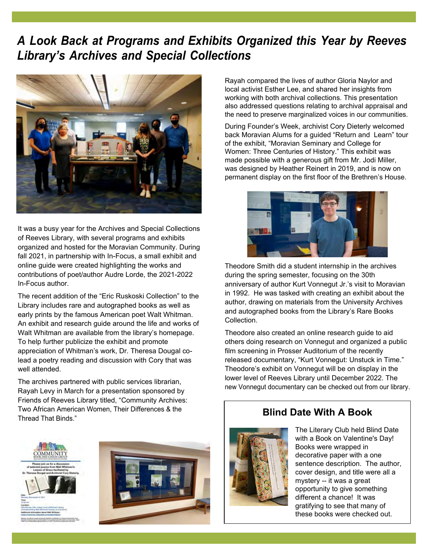# *A Look Back at Programs and Exhibits Organized this Year by Reeves Library's Archives and Special Collections*



It was a busy year for the Archives and Special Collections of Reeves Library, with several programs and exhibits organized and hosted for the Moravian Community. During fall 2021, in partnership with In-Focus, a small exhibit and online guide were created highlighting the works and contributions of poet/author Audre Lorde, the 2021-2022 In-Focus author.

The recent addition of the "Eric Ruskoski Collection" to the Library includes rare and autographed books as well as early prints by the famous American poet Walt Whitman. An exhibit and research guide around the life and works of Walt Whitman are available from the library's homepage. To help further publicize the exhibit and promote appreciation of Whitman's work, Dr. Theresa Dougal colead a poetry reading and discussion with Cory that was well attended.

The archives partnered with public services librarian, Rayah Levy in March for a presentation sponsored by Friends of Reeves Library titled, "Community Archives: Two African American Women, Their Differences & the Thread That Binds."

Rayah compared the lives of author Gloria Naylor and local activist Esther Lee, and shared her insights from working with both archival collections. This presentation also addressed questions relating to archival appraisal and the need to preserve marginalized voices in our communities.

During Founder's Week, archivist Cory Dieterly welcomed back Moravian Alums for a guided "Return and Learn" tour of the exhibit, "Moravian Seminary and College for Women: Three Centuries of History." This exhibit was made possible with a generous gift from Mr. Jodi Miller, was designed by Heather Reinert in 2019, and is now on permanent display on the first floor of the Brethren's House.



Theodore Smith did a student internship in the archives during the spring semester, focusing on the 30th anniversary of author Kurt Vonnegut Jr.'s visit to Moravian in 1992. He was tasked with creating an exhibit about the author, drawing on materials from the University Archives and autographed books from the Library's Rare Books Collection.

Theodore also created an online research guide to aid others doing research on Vonnegut and organized a public film screening in Prosser Auditorium of the recently released documentary, "Kurt Vonnegut: Unstuck in Time." Theodore's exhibit on Vonnegut will be on display in the lower level of Reeves Library until December 2022. The new Vonnegut documentary can be checked out from our library.

## **Blind Date With A Book**



The Literary Club held Blind Date with a Book on Valentine's Day! Books were wrapped in decorative paper with a one sentence description. The author, cover design, and title were all a mystery -- it was a great opportunity to give something different a chance! It was gratifying to see that many of these books were checked out.



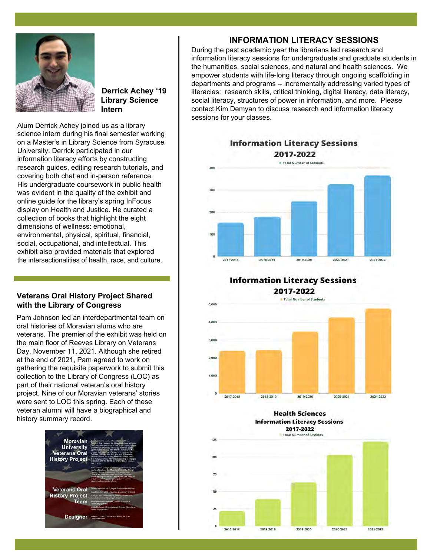

#### **Derrick Achey '19 Library Science Intern**

Alum Derrick Achey joined us as a library science intern during his final semester working on a Master's in Library Science from Syracuse University. Derrick participated in our information literacy efforts by constructing research guides, editing research tutorials, and covering both chat and in-person reference. His undergraduate coursework in public health was evident in the quality of the exhibit and online guide for the library's spring InFocus display on Health and Justice. He curated a collection of books that highlight the eight dimensions of wellness: emotional, environmental, physical, spiritual, financial, social, occupational, and intellectual. This exhibit also provided materials that explored the intersectionalities of health, race, and culture.

#### **Veterans Oral History Project Shared with the Library of Congress**

Pam Johnson led an interdepartmental team on oral histories of Moravian alums who are veterans. The premier of the exhibit was held on the main floor of Reeves Library on Veterans Day, November 11, 2021. Although she retired at the end of 2021, Pam agreed to work on gathering the requisite paperwork to submit this collection to the Library of Congress (LOC) as part of their national veteran's oral history project. Nine of our Moravian veterans' stories were sent to LOC this spring. Each of these veteran alumni will have a biographical and history summary record.



#### **INFORMATION LITERACY SESSIONS**

During the past academic year the librarians led research and information literacy sessions for undergraduate and graduate students in the humanities, social sciences, and natural and health sciences. We empower students with life-long literacy through ongoing scaffolding in departments and programs -- incrementally addressing varied types of literacies: research skills, critical thinking, digital literacy, data literacy, social literacy, structures of power in information, and more. Please contact Kim Demyan to discuss research and information literacy sessions for your classes.